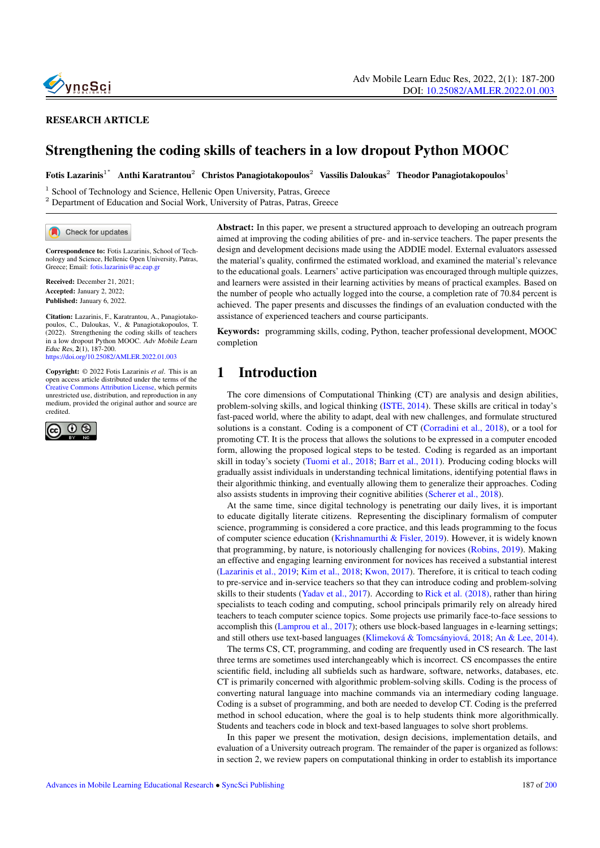

### RESEARCH ARTICLE

# Strengthening the coding skills of teachers in a low dropout Python MOOC

 ${\rm F}$ otis Lazarinis $^{1^+}$  Anthi Karatrantou $^2$  Christos Panagiotakopoulos $^2$  Vassilis Daloukas $^2$  Theodor Panagiotakopoulos $^1$ 

<sup>1</sup> School of Technology and Science, Hellenic Open University, Patras, Greece

<sup>2</sup> Department of Education and Social Work, University of Patras, Patras, Greece

Check for updates

Correspondence to: Fotis Lazarinis, School of Technology and Science, Hellenic Open University, Patras, Greece; Email: <fotis.lazarinis@ac.eap.gr>

Received: December 21, 2021; Accepted: January 2, 2022; Published: January 6, 2022.

Citation: Lazarinis, F., Karatrantou, A., Panagiotakopoulos, C., Daloukas, V., & Panagiotakopoulos, T. (2022). Strengthening the coding skills of teachers in a low dropout Python MOOC. Adv Mobile Learn Educ Res, 2(1), 187-200. <https://doi.org/10.25082/AMLER.2022.01.003>

Copyright: © 2022 Fotis Lazarinis *et al*. This is an open access article distributed under the terms of the [Creative Commons Attribution License,](https://creativecommons.org/licenses/by/4.0/) which permits unrestricted use, distribution, and reproduction in any medium, provided the original author and source are credited.



Abstract: In this paper, we present a structured approach to developing an outreach program aimed at improving the coding abilities of pre- and in-service teachers. The paper presents the design and development decisions made using the ADDIE model. External evaluators assessed the material's quality, confirmed the estimated workload, and examined the material's relevance to the educational goals. Learners' active participation was encouraged through multiple quizzes, and learners were assisted in their learning activities by means of practical examples. Based on the number of people who actually logged into the course, a completion rate of 70.84 percent is achieved. The paper presents and discusses the findings of an evaluation conducted with the assistance of experienced teachers and course participants.

Keywords: programming skills, coding, Python, teacher professional development, MOOC completion

# 1 Introduction

The core dimensions of Computational Thinking (CT) are analysis and design abilities, problem-solving skills, and logical thinking (ISTE, 2014). These skills are critical in today's fast-paced world, where the ability to adapt, deal with new challenges, and formulate structured solutions is a constant. Coding is a component of CT (Corradini et al., 2018), or a tool for promoting CT. It is the process that allows the solutions to be expressed in a computer encoded form, allowing the proposed logical steps to be tested. Coding is regarded as an important skill in today's society (Tuomi et al., 2018; Barr et al., 2011). Producing coding blocks will gradually assist individuals in understanding technical limitations, identifying potential flaws in their algorithmic thinking, and eventually allowing them to generalize their approaches. Coding also assists students in improving their cognitive abilities (Scherer et al., 2018).

At the same time, since digital technology is penetrating our daily lives, it is important to educate digitally literate citizens. Representing the disciplinary formalism of computer science, programming is considered a core practice, and this leads programming to the focus of computer science education (Krishnamurthi & Fisler, 2019). However, it is widely known that programming, by nature, is notoriously challenging for novices (Robins, 2019). Making an effective and engaging learning environment for novices has received a substantial interest (Lazarinis et al., 2019; Kim et al., 2018; Kwon, 2017). Therefore, it is critical to teach coding to pre-service and in-service teachers so that they can introduce coding and problem-solving skills to their students (Yadav et al., 2017). According to Rick et al. (2018), rather than hiring specialists to teach coding and computing, school principals primarily rely on already hired teachers to teach computer science topics. Some projects use primarily face-to-face sessions to accomplish this (Lamprou et al., 2017); others use block-based languages in e-learning settings; and still others use text-based languages (Klimeková & Tomcsányiová, 2018; An & Lee, 2014).

The terms CS, CT, programming, and coding are frequently used in CS research. The last three terms are sometimes used interchangeably which is incorrect. CS encompasses the entire scientific field, including all subfields such as hardware, software, networks, databases, etc. CT is primarily concerned with algorithmic problem-solving skills. Coding is the process of converting natural language into machine commands via an intermediary coding language. Coding is a subset of programming, and both are needed to develop CT. Coding is the preferred method in school education, where the goal is to help students think more algorithmically. Students and teachers code in block and text-based languages to solve short problems.

In this paper we present the motivation, design decisions, implementation details, and evaluation of a University outreach program. The remainder of the paper is organized as follows: in section 2, we review papers on computational thinking in order to establish its importance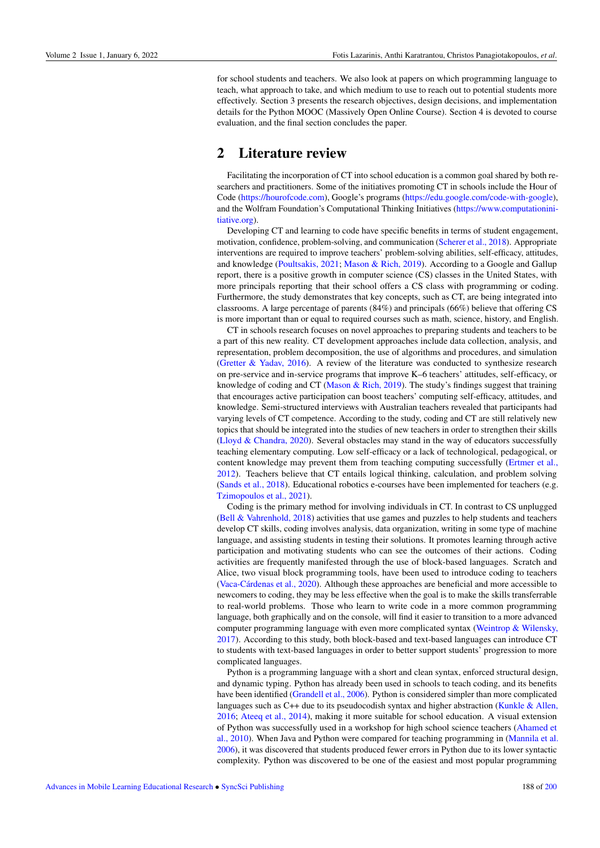for school students and teachers. We also look at papers on which programming language to teach, what approach to take, and which medium to use to reach out to potential students more effectively. Section 3 presents the research objectives, design decisions, and implementation details for the Python MOOC (Massively Open Online Course). Section 4 is devoted to course evaluation, and the final section concludes the paper.

## 2 Literature review

Facilitating the incorporation of CT into school education is a common goal shared by both researchers and practitioners. Some of the initiatives promoting CT in schools include the Hour of Code [\(https://hourofcode.com\)](https://hourofcode.com), Google's programs [\(https://edu.google.com/code-with-google\)](https://edu.google.com/code-with-google), and the Wolfram Foundation's Computational Thinking Initiatives [\(https://www.computationini](https://www.computationinitiative.org)[tiative.org\)](https://www.computationinitiative.org).

Developing CT and learning to code have specific benefits in terms of student engagement, motivation, confidence, problem-solving, and communication (Scherer et al., 2018). Appropriate interventions are required to improve teachers' problem-solving abilities, self-efficacy, attitudes, and knowledge (Poultsakis, 2021; Mason & Rich, 2019). According to a Google and Gallup report, there is a positive growth in computer science (CS) classes in the United States, with more principals reporting that their school offers a CS class with programming or coding. Furthermore, the study demonstrates that key concepts, such as CT, are being integrated into classrooms. A large percentage of parents (84%) and principals (66%) believe that offering CS is more important than or equal to required courses such as math, science, history, and English.

CT in schools research focuses on novel approaches to preparing students and teachers to be a part of this new reality. CT development approaches include data collection, analysis, and representation, problem decomposition, the use of algorithms and procedures, and simulation (Gretter  $\&$  Yadav, 2016). A review of the literature was conducted to synthesize research on pre-service and in-service programs that improve K–6 teachers' attitudes, self-efficacy, or knowledge of coding and CT (Mason & Rich, 2019). The study's findings suggest that training that encourages active participation can boost teachers' computing self-efficacy, attitudes, and knowledge. Semi-structured interviews with Australian teachers revealed that participants had varying levels of CT competence. According to the study, coding and CT are still relatively new topics that should be integrated into the studies of new teachers in order to strengthen their skills (Lloyd & Chandra, 2020). Several obstacles may stand in the way of educators successfully teaching elementary computing. Low self-efficacy or a lack of technological, pedagogical, or content knowledge may prevent them from teaching computing successfully (Ertmer et al., 2012). Teachers believe that CT entails logical thinking, calculation, and problem solving (Sands et al., 2018). Educational robotics e-courses have been implemented for teachers (e.g. Tzimopoulos et al., 2021).

Coding is the primary method for involving individuals in CT. In contrast to CS unplugged (Bell & Vahrenhold, 2018) activities that use games and puzzles to help students and teachers develop CT skills, coding involves analysis, data organization, writing in some type of machine language, and assisting students in testing their solutions. It promotes learning through active participation and motivating students who can see the outcomes of their actions. Coding activities are frequently manifested through the use of block-based languages. Scratch and Alice, two visual block programming tools, have been used to introduce coding to teachers (Vaca-Cárdenas et al.,  $2020$ ). Although these approaches are beneficial and more accessible to newcomers to coding, they may be less effective when the goal is to make the skills transferrable to real-world problems. Those who learn to write code in a more common programming language, both graphically and on the console, will find it easier to transition to a more advanced computer programming language with even more complicated syntax (Weintrop & Wilensky, 2017). According to this study, both block-based and text-based languages can introduce CT to students with text-based languages in order to better support students' progression to more complicated languages.

Python is a programming language with a short and clean syntax, enforced structural design, and dynamic typing. Python has already been used in schools to teach coding, and its benefits have been identified (Grandell et al., 2006). Python is considered simpler than more complicated languages such as  $C++$  due to its pseudocodish syntax and higher abstraction (Kunkle & Allen, 2016; Ateeq et al., 2014), making it more suitable for school education. A visual extension of Python was successfully used in a workshop for high school science teachers (Ahamed et al., 2010). When Java and Python were compared for teaching programming in (Mannila et al. 2006), it was discovered that students produced fewer errors in Python due to its lower syntactic complexity. Python was discovered to be one of the easiest and most popular programming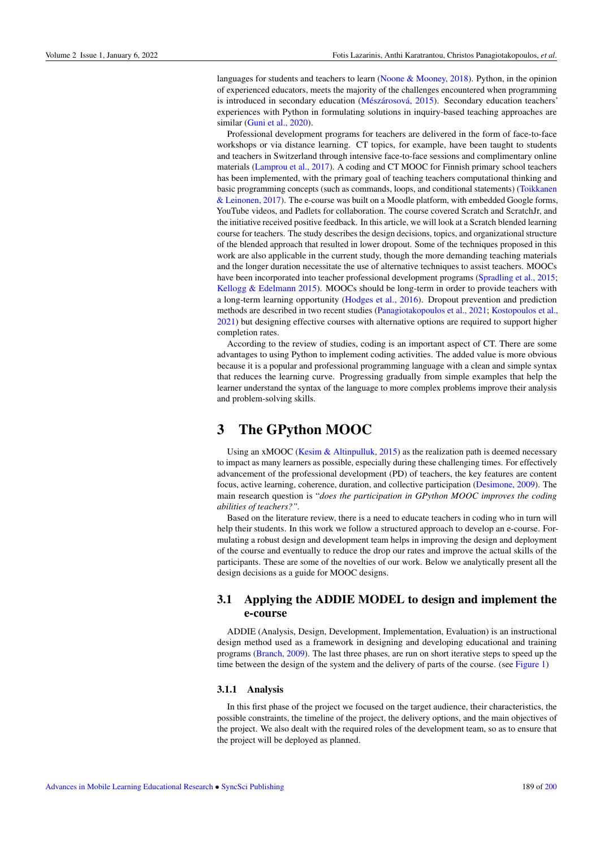languages for students and teachers to learn (Noone & Mooney, 2018). Python, in the opinion of experienced educators, meets the majority of the challenges encountered when programming is introduced in secondary education (Mészárosová, 2015). Secondary education teachers' experiences with Python in formulating solutions in inquiry-based teaching approaches are similar (Guni et al., 2020).

Professional development programs for teachers are delivered in the form of face-to-face workshops or via distance learning. CT topics, for example, have been taught to students and teachers in Switzerland through intensive face-to-face sessions and complimentary online materials (Lamprou et al., 2017). A coding and CT MOOC for Finnish primary school teachers has been implemented, with the primary goal of teaching teachers computational thinking and basic programming concepts (such as commands, loops, and conditional statements) (Toikkanen & Leinonen, 2017). The e-course was built on a Moodle platform, with embedded Google forms, YouTube videos, and Padlets for collaboration. The course covered Scratch and ScratchJr, and the initiative received positive feedback. In this article, we will look at a Scratch blended learning course for teachers. The study describes the design decisions, topics, and organizational structure of the blended approach that resulted in lower dropout. Some of the techniques proposed in this work are also applicable in the current study, though the more demanding teaching materials and the longer duration necessitate the use of alternative techniques to assist teachers. MOOCs have been incorporated into teacher professional development programs (Spradling et al., 2015; Kellogg & Edelmann 2015). MOOCs should be long-term in order to provide teachers with a long-term learning opportunity (Hodges et al., 2016). Dropout prevention and prediction methods are described in two recent studies (Panagiotakopoulos et al., 2021; Kostopoulos et al., 2021) but designing effective courses with alternative options are required to support higher completion rates.

According to the review of studies, coding is an important aspect of CT. There are some advantages to using Python to implement coding activities. The added value is more obvious because it is a popular and professional programming language with a clean and simple syntax that reduces the learning curve. Progressing gradually from simple examples that help the learner understand the syntax of the language to more complex problems improve their analysis and problem-solving skills.

# 3 The GPython MOOC

Using an xMOOC (Kesim & Altinpulluk, 2015) as the realization path is deemed necessary to impact as many learners as possible, especially during these challenging times. For effectively advancement of the professional development (PD) of teachers, the key features are content focus, active learning, coherence, duration, and collective participation (Desimone, 2009). The main research question is "*does the participation in GPython MOOC improves the coding abilities of teachers?".*

Based on the literature review, there is a need to educate teachers in coding who in turn will help their students. In this work we follow a structured approach to develop an e-course. Formulating a robust design and development team helps in improving the design and deployment of the course and eventually to reduce the drop our rates and improve the actual skills of the participants. These are some of the novelties of our work. Below we analytically present all the design decisions as a guide for MOOC designs.

## 3.1 Applying the ADDIE MODEL to design and implement the e-course

ADDIE (Analysis, Design, Development, Implementation, Evaluation) is an instructional design method used as a framework in designing and developing educational and training programs (Branch, 2009). The last three phases, are run on short iterative steps to speed up the time between the design of the system and the delivery of parts of the course. (see [Figure 1\)](#page-3-0)

#### 3.1.1 Analysis

In this first phase of the project we focused on the target audience, their characteristics, the possible constraints, the timeline of the project, the delivery options, and the main objectives of the project. We also dealt with the required roles of the development team, so as to ensure that the project will be deployed as planned.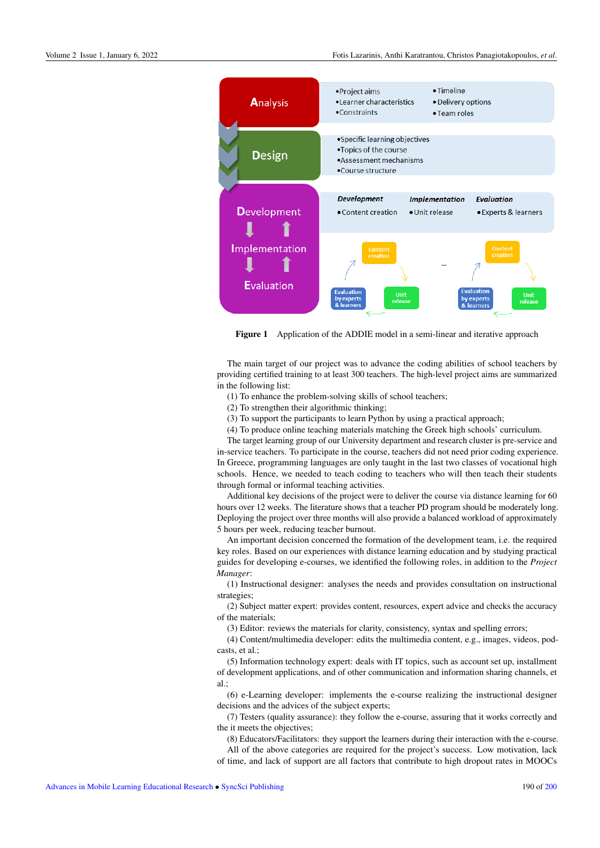<span id="page-3-0"></span>

Figure 1 Application of the ADDIE model in a semi-linear and iterative approach

The main target of our project was to advance the coding abilities of school teachers by providing certified training to at least 300 teachers. The high-level project aims are summarized in the following list:

(1) To enhance the problem-solving skills of school teachers;

(2) To strengthen their algorithmic thinking;

(3) To support the participants to learn Python by using a practical approach;

(4) To produce online teaching materials matching the Greek high schools' curriculum.

The target learning group of our University department and research cluster is pre-service and in-service teachers. To participate in the course, teachers did not need prior coding experience. In Greece, programming languages are only taught in the last two classes of vocational high schools. Hence, we needed to teach coding to teachers who will then teach their students through formal or informal teaching activities.

Additional key decisions of the project were to deliver the course via distance learning for 60 hours over 12 weeks. The literature shows that a teacher PD program should be moderately long. Deploying the project over three months will also provide a balanced workload of approximately 5 hours per week, reducing teacher burnout.

An important decision concerned the formation of the development team, i.e. the required key roles. Based on our experiences with distance learning education and by studying practical guides for developing e-courses, we identified the following roles, in addition to the *Project Manager*:

(1) Instructional designer: analyses the needs and provides consultation on instructional strategies;

(2) Subject matter expert: provides content, resources, expert advice and checks the accuracy of the materials;

(3) Editor: reviews the materials for clarity, consistency, syntax and spelling errors;

(4) Content/multimedia developer: edits the multimedia content, e.g., images, videos, podcasts, et al.;

(5) Information technology expert: deals with IT topics, such as account set up, installment of development applications, and of other communication and information sharing channels, et al.;

(6) e-Learning developer: implements the e-course realizing the instructional designer decisions and the advices of the subject experts;

(7) Testers (quality assurance): they follow the e-course, assuring that it works correctly and the it meets the objectives;

(8) Educators/Facilitators: they support the learners during their interaction with the e-course. All of the above categories are required for the project's success. Low motivation, lack

of time, and lack of support are all factors that contribute to high dropout rates in MOOCs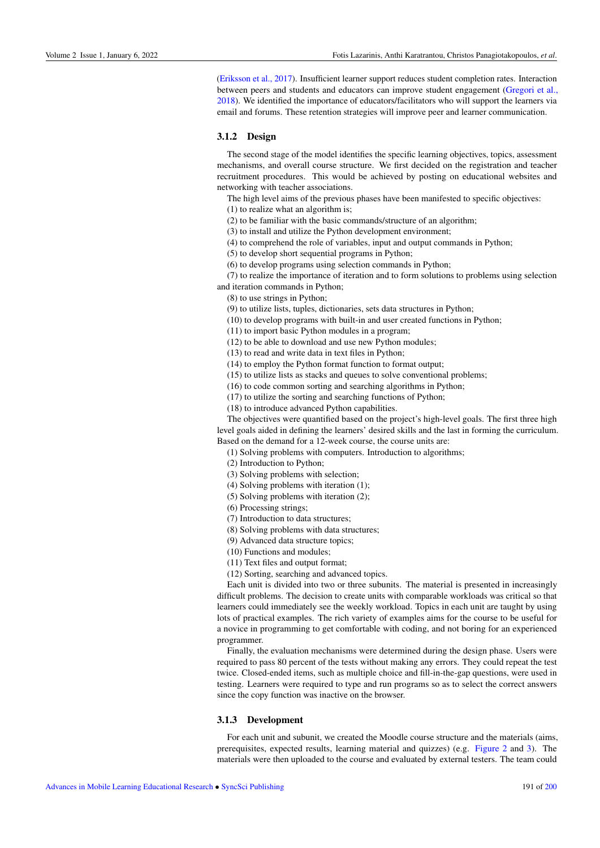(Eriksson et al., 2017). Insufficient learner support reduces student completion rates. Interaction between peers and students and educators can improve student engagement (Gregori et al., 2018). We identified the importance of educators/facilitators who will support the learners via email and forums. These retention strategies will improve peer and learner communication.

#### 3.1.2 Design

The second stage of the model identifies the specific learning objectives, topics, assessment mechanisms, and overall course structure. We first decided on the registration and teacher recruitment procedures. This would be achieved by posting on educational websites and networking with teacher associations.

The high level aims of the previous phases have been manifested to specific objectives:

(1) to realize what an algorithm is;

(2) to be familiar with the basic commands/structure of an algorithm;

(3) to install and utilize the Python development environment;

(4) to comprehend the role of variables, input and output commands in Python;

(5) to develop short sequential programs in Python;

(6) to develop programs using selection commands in Python;

(7) to realize the importance of iteration and to form solutions to problems using selection and iteration commands in Python;

(8) to use strings in Python;

(9) to utilize lists, tuples, dictionaries, sets data structures in Python;

(10) to develop programs with built-in and user created functions in Python;

(11) to import basic Python modules in a program;

(12) to be able to download and use new Python modules;

(13) to read and write data in text files in Python;

(14) to employ the Python format function to format output;

(15) to utilize lists as stacks and queues to solve conventional problems;

(16) to code common sorting and searching algorithms in Python;

(17) to utilize the sorting and searching functions of Python;

(18) to introduce advanced Python capabilities.

The objectives were quantified based on the project's high-level goals. The first three high

level goals aided in defining the learners' desired skills and the last in forming the curriculum. Based on the demand for a 12-week course, the course units are:

(1) Solving problems with computers. Introduction to algorithms;

(2) Introduction to Python;

(3) Solving problems with selection;

(4) Solving problems with iteration (1);

(5) Solving problems with iteration (2);

(6) Processing strings;

(7) Introduction to data structures;

(8) Solving problems with data structures;

(9) Advanced data structure topics;

(10) Functions and modules;

(11) Text files and output format;

(12) Sorting, searching and advanced topics.

Each unit is divided into two or three subunits. The material is presented in increasingly difficult problems. The decision to create units with comparable workloads was critical so that learners could immediately see the weekly workload. Topics in each unit are taught by using lots of practical examples. The rich variety of examples aims for the course to be useful for a novice in programming to get comfortable with coding, and not boring for an experienced programmer.

Finally, the evaluation mechanisms were determined during the design phase. Users were required to pass 80 percent of the tests without making any errors. They could repeat the test twice. Closed-ended items, such as multiple choice and fill-in-the-gap questions, were used in testing. Learners were required to type and run programs so as to select the correct answers since the copy function was inactive on the browser.

#### 3.1.3 Development

For each unit and subunit, we created the Moodle course structure and the materials (aims, prerequisites, expected results, learning material and quizzes) (e.g. [Figure 2](#page-5-0) and [3\)](#page-5-1). The materials were then uploaded to the course and evaluated by external testers. The team could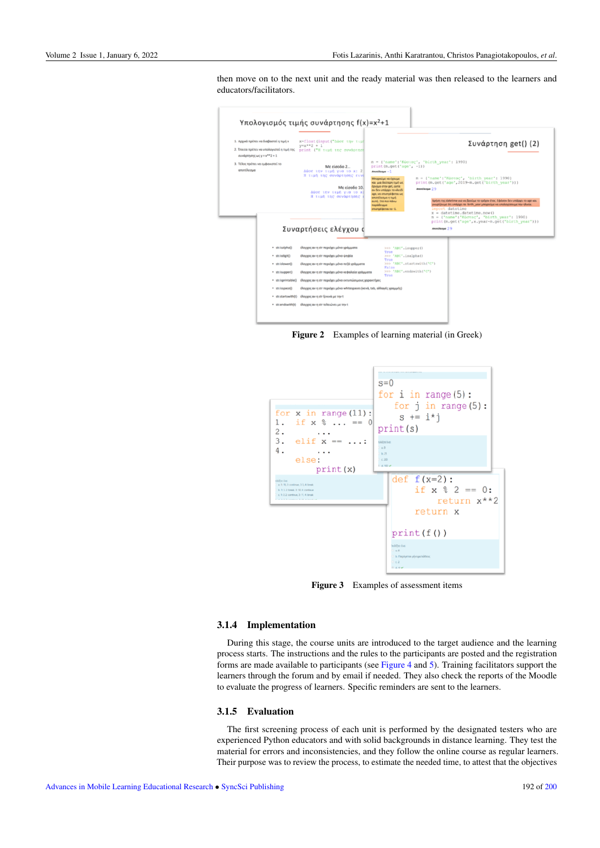then move on to the next unit and the ready material was then released to the learners and educators/facilitators.

<span id="page-5-0"></span>

Figure 2 Examples of learning material (in Greek)

<span id="page-5-1"></span>

Figure 3 Examples of assessment items

#### 3.1.4 Implementation

During this stage, the course units are introduced to the target audience and the learning process starts. The instructions and the rules to the participants are posted and the registration forms are made available to participants (see [Figure 4](#page-6-0) and [5\)](#page-6-1). Training facilitators support the learners through the forum and by email if needed. They also check the reports of the Moodle to evaluate the progress of learners. Specific reminders are sent to the learners.

#### 3.1.5 Evaluation

The first screening process of each unit is performed by the designated testers who are experienced Python educators and with solid backgrounds in distance learning. They test the material for errors and inconsistencies, and they follow the online course as regular learners. Their purpose was to review the process, to estimate the needed time, to attest that the objectives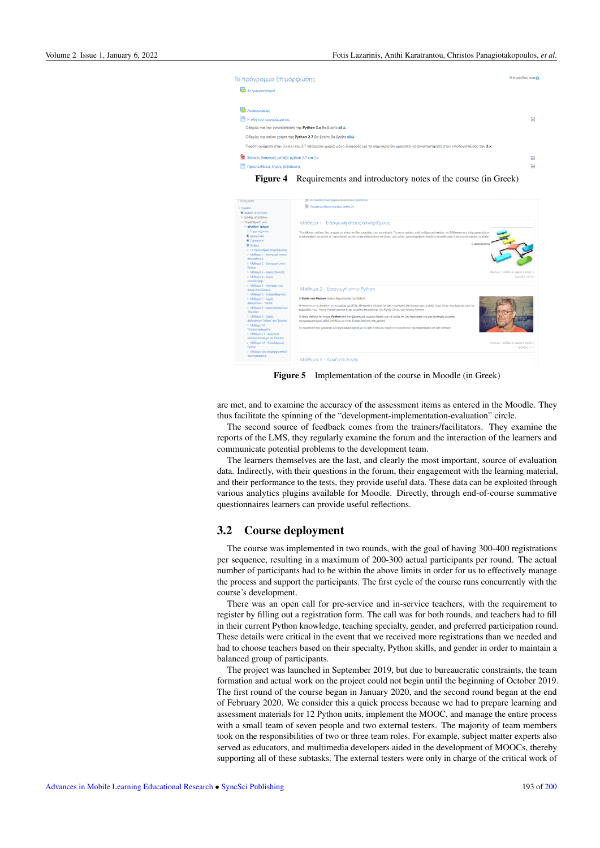<span id="page-6-0"></span>

Figure 4 Requirements and introductory notes of the course (in Greek)

<span id="page-6-1"></span>

Figure 5 Implementation of the course in Moodle (in Greek)

are met, and to examine the accuracy of the assessment items as entered in the Moodle. They thus facilitate the spinning of the "development-implementation-evaluation" circle.

The second source of feedback comes from the trainers/facilitators. They examine the reports of the LMS, they regularly examine the forum and the interaction of the learners and communicate potential problems to the development team.

The learners themselves are the last, and clearly the most important, source of evaluation data. Indirectly, with their questions in the forum, their engagement with the learning material, and their performance to the tests, they provide useful data. These data can be exploited through various analytics plugins available for Moodle. Directly, through end-of-course summative questionnaires learners can provide useful reflections.

### 3.2 Course deployment

The course was implemented in two rounds, with the goal of having 300-400 registrations per sequence, resulting in a maximum of 200-300 actual participants per round. The actual number of participants had to be within the above limits in order for us to effectively manage the process and support the participants. The first cycle of the course runs concurrently with the course's development.

There was an open call for pre-service and in-service teachers, with the requirement to register by filling out a registration form. The call was for both rounds, and teachers had to fill in their current Python knowledge, teaching specialty, gender, and preferred participation round. These details were critical in the event that we received more registrations than we needed and had to choose teachers based on their specialty, Python skills, and gender in order to maintain a balanced group of participants.

The project was launched in September 2019, but due to bureaucratic constraints, the team formation and actual work on the project could not begin until the beginning of October 2019. The first round of the course began in January 2020, and the second round began at the end of February 2020. We consider this a quick process because we had to prepare learning and assessment materials for 12 Python units, implement the MOOC, and manage the entire process with a small team of seven people and two external testers. The majority of team members took on the responsibilities of two or three team roles. For example, subject matter experts also served as educators, and multimedia developers aided in the development of MOOCs, thereby supporting all of these subtasks. The external testers were only in charge of the critical work of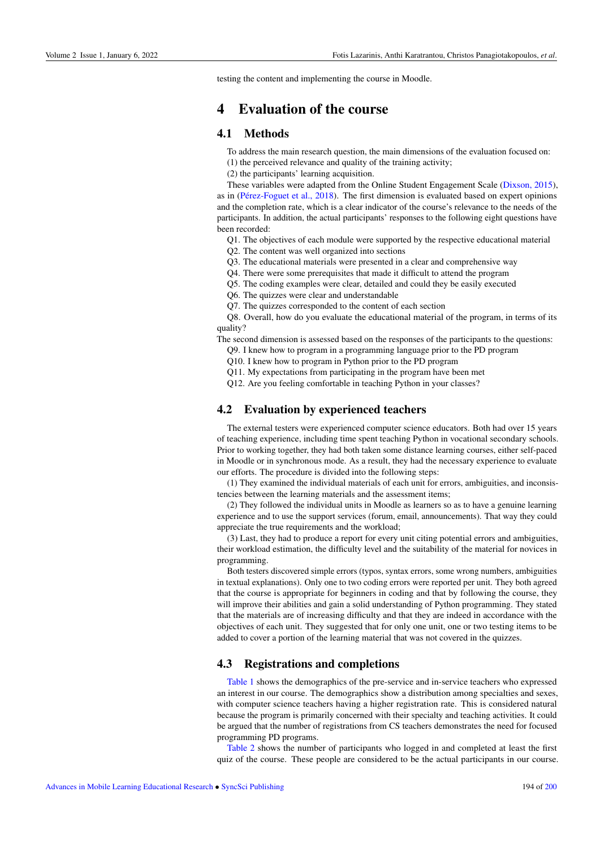testing the content and implementing the course in Moodle.

## 4 Evaluation of the course

### 4.1 Methods

To address the main research question, the main dimensions of the evaluation focused on:

(1) the perceived relevance and quality of the training activity;

(2) the participants' learning acquisition.

These variables were adapted from the Online Student Engagement Scale (Dixson, 2015), as in (Pérez-Foguet et al., 2018). The first dimension is evaluated based on expert opinions and the completion rate, which is a clear indicator of the course's relevance to the needs of the participants. In addition, the actual participants' responses to the following eight questions have been recorded:

Q1. The objectives of each module were supported by the respective educational material

- Q2. The content was well organized into sections
- Q3. The educational materials were presented in a clear and comprehensive way
- Q4. There were some prerequisites that made it difficult to attend the program
- Q5. The coding examples were clear, detailed and could they be easily executed
- Q6. The quizzes were clear and understandable
- Q7. The quizzes corresponded to the content of each section

Q8. Overall, how do you evaluate the educational material of the program, in terms of its quality?

The second dimension is assessed based on the responses of the participants to the questions:

- Q9. I knew how to program in a programming language prior to the PD program
- Q10. I knew how to program in Python prior to the PD program

Q11. My expectations from participating in the program have been met

Q12. Are you feeling comfortable in teaching Python in your classes?

## 4.2 Evaluation by experienced teachers

The external testers were experienced computer science educators. Both had over 15 years of teaching experience, including time spent teaching Python in vocational secondary schools. Prior to working together, they had both taken some distance learning courses, either self-paced in Moodle or in synchronous mode. As a result, they had the necessary experience to evaluate our efforts. The procedure is divided into the following steps:

(1) They examined the individual materials of each unit for errors, ambiguities, and inconsistencies between the learning materials and the assessment items;

(2) They followed the individual units in Moodle as learners so as to have a genuine learning experience and to use the support services (forum, email, announcements). That way they could appreciate the true requirements and the workload;

(3) Last, they had to produce a report for every unit citing potential errors and ambiguities, their workload estimation, the difficulty level and the suitability of the material for novices in programming.

Both testers discovered simple errors (typos, syntax errors, some wrong numbers, ambiguities in textual explanations). Only one to two coding errors were reported per unit. They both agreed that the course is appropriate for beginners in coding and that by following the course, they will improve their abilities and gain a solid understanding of Python programming. They stated that the materials are of increasing difficulty and that they are indeed in accordance with the objectives of each unit. They suggested that for only one unit, one or two testing items to be added to cover a portion of the learning material that was not covered in the quizzes.

## 4.3 Registrations and completions

[Table 1](#page-8-0) shows the demographics of the pre-service and in-service teachers who expressed an interest in our course. The demographics show a distribution among specialties and sexes, with computer science teachers having a higher registration rate. This is considered natural because the program is primarily concerned with their specialty and teaching activities. It could be argued that the number of registrations from CS teachers demonstrates the need for focused programming PD programs.

[Table 2](#page-8-1) shows the number of participants who logged in and completed at least the first quiz of the course. These people are considered to be the actual participants in our course.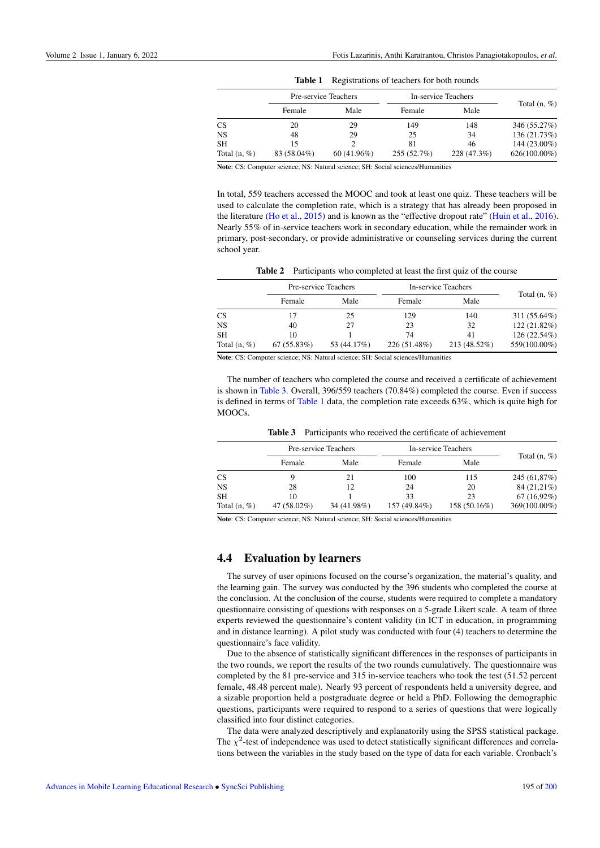|  |  |  | <b>Table 1</b> Registrations of teachers for both rounds |
|--|--|--|----------------------------------------------------------|
|--|--|--|----------------------------------------------------------|

<span id="page-8-0"></span>

|                 | Pre-service Teachers |               | In-service Teachers |             |                 |
|-----------------|----------------------|---------------|---------------------|-------------|-----------------|
|                 | Female               | Male          | Female              | Male        | Total $(n, \%)$ |
| <b>CS</b>       | 20                   | 29            | 149                 | 148         | 346 (55.27%)    |
| <b>NS</b>       | 48                   | 29            | 25                  | 34          | 136 (21.73%)    |
| <b>SH</b>       | 15                   |               | 81                  | 46          | 144 (23.00%)    |
| Total $(n, \%)$ | 83 (58.04%)          | $60(41.96\%)$ | 255(52.7%)          | 228 (47.3%) | $626(100.00\%)$ |

Note: CS: Computer science; NS: Natural science; SH: Social sciences/Humanities

In total, 559 teachers accessed the MOOC and took at least one quiz. These teachers will be used to calculate the completion rate, which is a strategy that has already been proposed in the literature (Ho et al., 2015) and is known as the "effective dropout rate" (Huin et al., 2016). Nearly 55% of in-service teachers work in secondary education, while the remainder work in primary, post-secondary, or provide administrative or counseling services during the current school year.

Table 2 Participants who completed at least the first quiz of the course

<span id="page-8-1"></span>

|                | Pre-service Teachers |             | In-service Teachers |              |                 |
|----------------|----------------------|-------------|---------------------|--------------|-----------------|
|                | Female               | Male        | Female              | Male         | Total $(n, \%)$ |
| <b>CS</b>      |                      | 25          | 129                 | 140          | 311 (55.64%)    |
| <b>NS</b>      | 40                   | 27          | 23                  | 32           | 122 (21.82%)    |
| <b>SH</b>      | 10                   |             | 74                  | 41           | 126 (22.54%)    |
| Total $(n, %)$ | 67(55.83%)           | 53 (44.17%) | 226 (51.48%)        | 213 (48.52%) | 559(100.00%)    |

Note: CS: Computer science; NS: Natural science; SH: Social sciences/Humanities

The number of teachers who completed the course and received a certificate of achievement is shown in [Table 3.](#page-8-2) Overall, 396/559 teachers (70.84%) completed the course. Even if success is defined in terms of [Table 1](#page-8-0) data, the completion rate exceeds  $63\%$ , which is quite high for MOOCs.

<span id="page-8-2"></span>

|                 | Pre-service Teachers |             | In-service Teachers |              |                 |
|-----------------|----------------------|-------------|---------------------|--------------|-----------------|
|                 | Female               | Male        | Female              | Male         | Total $(n, \%)$ |
| <b>CS</b>       |                      | 21          | 100                 | 115          | 245 (61,87%)    |
| <b>NS</b>       | 28                   | 12          | 24                  | 20           | 84 (21,21%)     |
| <b>SH</b>       | 10                   |             | 33                  | 23           | $67(16.92\%)$   |
| Total $(n, \%)$ | 47 (58.02%)          | 34 (41.98%) | 157 (49.84%)        | 158 (50.16%) | 369(100.00%)    |

Note: CS: Computer science; NS: Natural science; SH: Social sciences/Humanities

### 4.4 Evaluation by learners

The survey of user opinions focused on the course's organization, the material's quality, and the learning gain. The survey was conducted by the 396 students who completed the course at the conclusion. At the conclusion of the course, students were required to complete a mandatory questionnaire consisting of questions with responses on a 5-grade Likert scale. A team of three experts reviewed the questionnaire's content validity (in ICT in education, in programming and in distance learning). A pilot study was conducted with four (4) teachers to determine the questionnaire's face validity.

Due to the absence of statistically significant differences in the responses of participants in the two rounds, we report the results of the two rounds cumulatively. The questionnaire was completed by the 81 pre-service and 315 in-service teachers who took the test (51.52 percent female, 48.48 percent male). Nearly 93 percent of respondents held a university degree, and a sizable proportion held a postgraduate degree or held a PhD. Following the demographic questions, participants were required to respond to a series of questions that were logically classified into four distinct categories.

The data were analyzed descriptively and explanatorily using the SPSS statistical package. The  $\chi^2$ -test of independence was used to detect statistically significant differences and correlations between the variables in the study based on the type of data for each variable. Cronbach's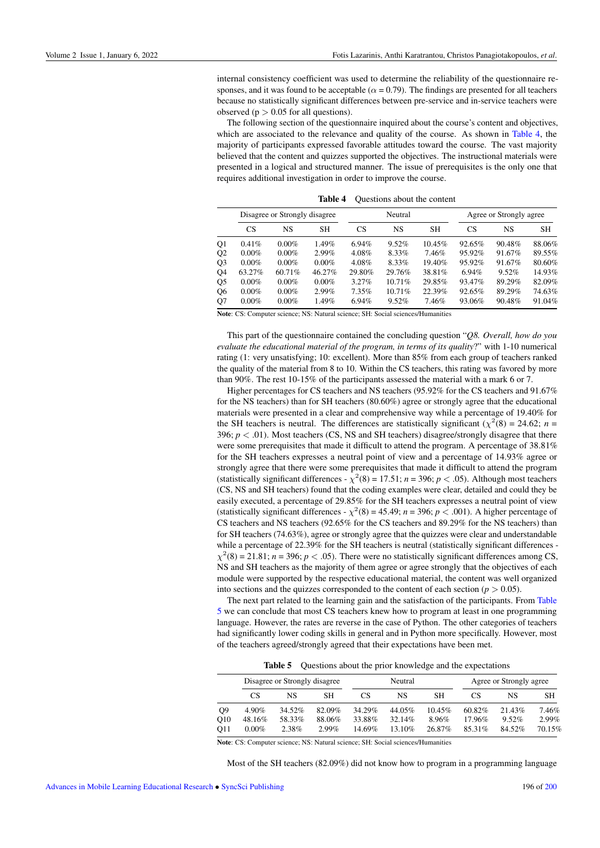internal consistency coefficient was used to determine the reliability of the questionnaire responses, and it was found to be acceptable ( $\alpha$  = 0.79). The findings are presented for all teachers because no statistically significant differences between pre-service and in-service teachers were observed ( $p > 0.05$  for all questions).

The following section of the questionnaire inquired about the course's content and objectives, which are associated to the relevance and quality of the course. As shown in [Table 4,](#page-9-0) the majority of participants expressed favorable attitudes toward the course. The vast majority believed that the content and quizzes supported the objectives. The instructional materials were presented in a logical and structured manner. The issue of prerequisites is the only one that requires additional investigation in order to improve the course.

<span id="page-9-0"></span>

|                | Disagree or Strongly disagree |          |           | Neutral |           |           | Agree or Strongly agree |        |           |
|----------------|-------------------------------|----------|-----------|---------|-----------|-----------|-------------------------|--------|-----------|
|                | CS <sup>-</sup>               | NS       | <b>SH</b> | CS      | NS        | <b>SH</b> | CS                      | NS     | <b>SH</b> |
| Q1             | 0.41%                         | $0.00\%$ | 1.49%     | 6.94%   | 9.52%     | 10.45%    | 92.65%                  | 90.48% | 88.06%    |
| Q <sub>2</sub> | $0.00\%$                      | $0.00\%$ | 2.99%     | 4.08%   | 8.33%     | 7.46%     | 95.92%                  | 91.67% | 89.55%    |
| Q <sub>3</sub> | $0.00\%$                      | $0.00\%$ | $0.00\%$  | 4.08%   | 8.33%     | 19.40%    | 95.92%                  | 91.67% | 80.60%    |
| Q4             | 63.27%                        | 60.71%   | 46.27%    | 29.80%  | 29.76%    | 38.81%    | 6.94%                   | 9.52%  | 14.93%    |
| Q5             | $0.00\%$                      | $0.00\%$ | $0.00\%$  | 3.27%   | $10.71\%$ | 29.85%    | 93.47%                  | 89.29% | 82.09%    |
| Q <sub>6</sub> | $0.00\%$                      | $0.00\%$ | $2.99\%$  | 7.35%   | $10.71\%$ | 22.39%    | 92.65%                  | 89.29% | 74.63%    |
| Q <sub>7</sub> | $0.00\%$                      | $0.00\%$ | 1.49%     | 6.94%   | 9.52%     | 7.46%     | 93.06%                  | 90.48% | 91.04%    |

Table 4 Questions about the content

Note: CS: Computer science; NS: Natural science; SH: Social sciences/Humanities

This part of the questionnaire contained the concluding question "*Q8. Overall, how do you evaluate the educational material of the program, in terms of its quality*?" with 1-10 numerical rating (1: very unsatisfying; 10: excellent). More than 85% from each group of teachers ranked the quality of the material from 8 to 10. Within the CS teachers, this rating was favored by more than 90%. The rest 10-15% of the participants assessed the material with a mark 6 or 7.

Higher percentages for CS teachers and NS teachers (95.92% for the CS teachers and 91.67% for the NS teachers) than for SH teachers (80.60%) agree or strongly agree that the educational materials were presented in a clear and comprehensive way while a percentage of 19.40% for the SH teachers is neutral. The differences are statistically significant ( $\chi^2(8) = 24.62$ ; *n* = 396;  $p < .01$ ). Most teachers (CS, NS and SH teachers) disagree/strongly disagree that there were some prerequisites that made it difficult to attend the program. A percentage of 38.81% for the SH teachers expresses a neutral point of view and a percentage of 14.93% agree or strongly agree that there were some prerequisites that made it difficult to attend the program (statistically significant differences -  $\chi^2(8) = 17.51$ ; *n* = 396; *p* < .05). Although most teachers (CS, NS and SH teachers) found that the coding examples were clear, detailed and could they be easily executed, a percentage of 29.85% for the SH teachers expresses a neutral point of view (statistically significant differences -  $\chi^2(8) = 45.49$ ; *n* = 396; *p* < .001). A higher percentage of CS teachers and NS teachers (92.65% for the CS teachers and 89.29% for the NS teachers) than for SH teachers (74.63%), agree or strongly agree that the quizzes were clear and understandable while a percentage of 22.39% for the SH teachers is neutral (statistically significant differences - $\chi^2(8) = 21.81$ ; *n* = 396; *p* < .05). There were no statistically significant differences among CS, NS and SH teachers as the majority of them agree or agree strongly that the objectives of each module were supported by the respective educational material, the content was well organized into sections and the quizzes corresponded to the content of each section  $(p > 0.05)$ .

The next part related to the learning gain and the satisfaction of the participants. From [Table](#page-9-1) [5](#page-9-1) we can conclude that most CS teachers knew how to program at least in one programming language. However, the rates are reverse in the case of Python. The other categories of teachers had significantly lower coding skills in general and in Python more specifically. However, most of the teachers agreed/strongly agreed that their expectations have been met.

Table 5 Questions about the prior knowledge and the expectations

<span id="page-9-1"></span>

|                | Disagree or Strongly disagree |        |          | Neutral |        |        | Agree or Strongly agree |        |        |
|----------------|-------------------------------|--------|----------|---------|--------|--------|-------------------------|--------|--------|
|                | CS                            | NS     | SН       | CS      | NS     | SН     | CS                      | NS     | SН     |
| O <sub>9</sub> | 4.90%                         | 34.52% | 82.09%   | 34.29%  | 44.05% | 10.45% | 60.82%                  | 21.43% | 7.46%  |
| O10            | 48.16%                        | 58.33% | 88.06%   | 33.88%  | 32.14% | 8.96%  | 17.96%                  | 9.52%  | 2.99%  |
| O11            | $0.00\%$                      | 2.38%  | $2.99\%$ | 14.69%  | 13.10% | 26.87% | 85.31%                  | 84.52% | 70.15% |

Note: CS: Computer science; NS: Natural science; SH: Social sciences/Humanities

Most of the SH teachers (82.09%) did not know how to program in a programming language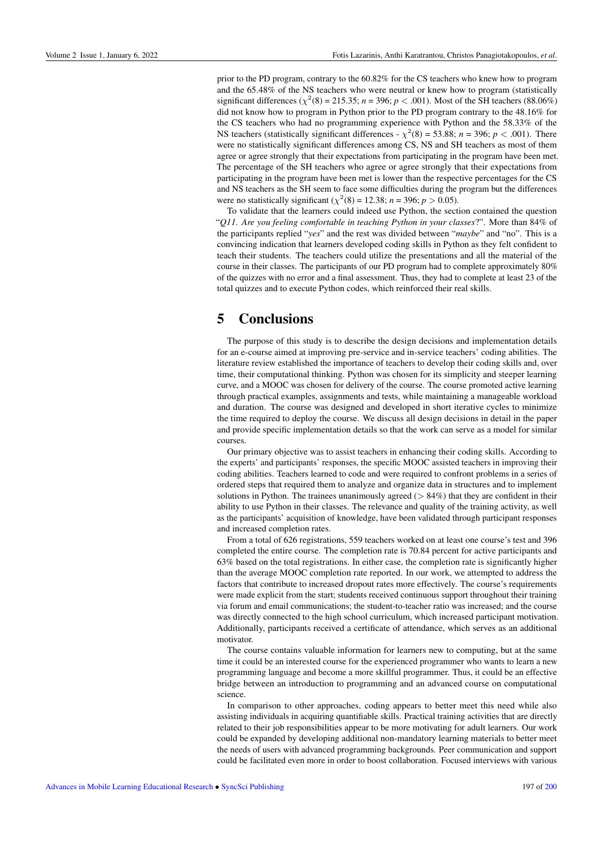prior to the PD program, contrary to the 60.82% for the CS teachers who knew how to program and the 65.48% of the NS teachers who were neutral or knew how to program (statistically significant differences ( $\chi^2(8) = 215.35$ ; *n* = 396; *p* < .001). Most of the SH teachers (88.06%) did not know how to program in Python prior to the PD program contrary to the 48.16% for the CS teachers who had no programming experience with Python and the 58.33% of the NS teachers (statistically significant differences -  $\chi^2(8) = 53.88$ ; *n* = 396; *p* < .001). There were no statistically significant differences among CS, NS and SH teachers as most of them agree or agree strongly that their expectations from participating in the program have been met. The percentage of the SH teachers who agree or agree strongly that their expectations from participating in the program have been met is lower than the respective percentages for the CS and NS teachers as the SH seem to face some difficulties during the program but the differences were no statistically significant ( $\chi^2(8) = 12.38$ ; *n* = 396; *p* > 0.05).

To validate that the learners could indeed use Python, the section contained the question "*Q11. Are you feeling comfortable in teaching Python in your classes*?". More than 84% of the participants replied "*yes*" and the rest was divided between "*maybe*" and "no". This is a convincing indication that learners developed coding skills in Python as they felt confident to teach their students. The teachers could utilize the presentations and all the material of the course in their classes. The participants of our PD program had to complete approximately 80% of the quizzes with no error and a final assessment. Thus, they had to complete at least 23 of the total quizzes and to execute Python codes, which reinforced their real skills.

## 5 Conclusions

The purpose of this study is to describe the design decisions and implementation details for an e-course aimed at improving pre-service and in-service teachers' coding abilities. The literature review established the importance of teachers to develop their coding skills and, over time, their computational thinking. Python was chosen for its simplicity and steeper learning curve, and a MOOC was chosen for delivery of the course. The course promoted active learning through practical examples, assignments and tests, while maintaining a manageable workload and duration. The course was designed and developed in short iterative cycles to minimize the time required to deploy the course. We discuss all design decisions in detail in the paper and provide specific implementation details so that the work can serve as a model for similar courses.

Our primary objective was to assist teachers in enhancing their coding skills. According to the experts' and participants' responses, the specific MOOC assisted teachers in improving their coding abilities. Teachers learned to code and were required to confront problems in a series of ordered steps that required them to analyze and organize data in structures and to implement solutions in Python. The trainees unanimously agreed ( $> 84\%$ ) that they are confident in their ability to use Python in their classes. The relevance and quality of the training activity, as well as the participants' acquisition of knowledge, have been validated through participant responses and increased completion rates.

From a total of 626 registrations, 559 teachers worked on at least one course's test and 396 completed the entire course. The completion rate is 70.84 percent for active participants and 63% based on the total registrations. In either case, the completion rate is significantly higher than the average MOOC completion rate reported. In our work, we attempted to address the factors that contribute to increased dropout rates more effectively. The course's requirements were made explicit from the start; students received continuous support throughout their training via forum and email communications; the student-to-teacher ratio was increased; and the course was directly connected to the high school curriculum, which increased participant motivation. Additionally, participants received a certificate of attendance, which serves as an additional motivator.

The course contains valuable information for learners new to computing, but at the same time it could be an interested course for the experienced programmer who wants to learn a new programming language and become a more skillful programmer. Thus, it could be an effective bridge between an introduction to programming and an advanced course on computational science.

In comparison to other approaches, coding appears to better meet this need while also assisting individuals in acquiring quantifiable skills. Practical training activities that are directly related to their job responsibilities appear to be more motivating for adult learners. Our work could be expanded by developing additional non-mandatory learning materials to better meet the needs of users with advanced programming backgrounds. Peer communication and support could be facilitated even more in order to boost collaboration. Focused interviews with various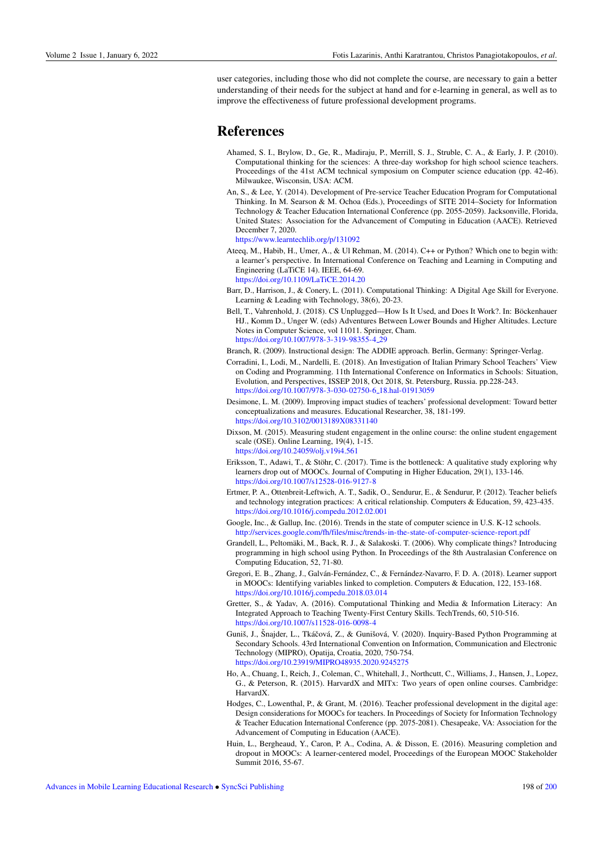user categories, including those who did not complete the course, are necessary to gain a better understanding of their needs for the subject at hand and for e-learning in general, as well as to improve the effectiveness of future professional development programs.

## References

- Ahamed, S. I., Brylow, D., Ge, R., Madiraju, P., Merrill, S. J., Struble, C. A., & Early, J. P. (2010). Computational thinking for the sciences: A three-day workshop for high school science teachers. Proceedings of the 41st ACM technical symposium on Computer science education (pp. 42-46). Milwaukee, Wisconsin, USA: ACM.
- An, S., & Lee, Y. (2014). Development of Pre-service Teacher Education Program for Computational Thinking. In M. Searson & M. Ochoa (Eds.), Proceedings of SITE 2014–Society for Information Technology & Teacher Education International Conference (pp. 2055-2059). Jacksonville, Florida, United States: Association for the Advancement of Computing in Education (AACE). Retrieved December 7, 2020.

<https://www.learntechlib.org/p/131092>

Ateeq, M., Habib, H., Umer, A., & Ul Rehman, M. (2014). C++ or Python? Which one to begin with: a learner's perspective. In International Conference on Teaching and Learning in Computing and Engineering (LaTiCE 14). IEEE, 64-69. <https://doi.org/10.1109/LaTiCE.2014.20>

Barr, D., Harrison, J., & Conery, L. (2011). Computational Thinking: A Digital Age Skill for Everyone. Learning & Leading with Technology, 38(6), 20-23.

- Bell, T., Vahrenhold, J. (2018). CS Unplugged—How Is It Used, and Does It Work?. In: Böckenhauer HJ., Komm D., Unger W. (eds) Adventures Between Lower Bounds and Higher Altitudes. Lecture Notes in Computer Science, vol 11011. Springer, Cham. [https://doi.org/10.1007/978-3-319-98355-4](https://doi.org/10.1007/978-3-319-98355-4_29) 29
- Branch, R. (2009). Instructional design: The ADDIE approach. Berlin, Germany: Springer-Verlag.
- Corradini, I., Lodi, M., Nardelli, E. (2018). An Investigation of Italian Primary School Teachers' View on Coding and Programming. 11th International Conference on Informatics in Schools: Situation, Evolution, and Perspectives, ISSEP 2018, Oct 2018, St. Petersburg, Russia. pp.228-243. [https://doi.org/10.1007/978-3-030-02750-6](https://doi.org/10.1007/978-3-030-02750-6_18.hal-01913059) 18.hal-01913059
- Desimone, L. M. (2009). Improving impact studies of teachers' professional development: Toward better conceptualizations and measures. Educational Researcher, 38, 181-199. <https://doi.org/10.3102/0013189X08331140>
- Dixson, M. (2015). Measuring student engagement in the online course: the online student engagement scale (OSE). Online Learning, 19(4), 1-15. <https://doi.org/10.24059/olj.v19i4.561>
- Eriksson, T., Adawi, T., & Stöhr, C. (2017). Time is the bottleneck: A qualitative study exploring why learners drop out of MOOCs. Journal of Computing in Higher Education, 29(1), 133-146. <https://doi.org/10.1007/s12528-016-9127-8>
- Ertmer, P. A., Ottenbreit-Leftwich, A. T., Sadik, O., Sendurur, E., & Sendurur, P. (2012). Teacher beliefs and technology integration practices: A critical relationship. Computers & Education, 59, 423-435. <https://doi.org/10.1016/j.compedu.2012.02.001>
- Google, Inc., & Gallup, Inc. (2016). Trends in the state of computer science in U.S. K-12 schools. <http://services.google.com/fh/files/misc/trends-in-the-state-of-computer-science-report.pdf>
- Grandell, L., Peltomäki, M., Back, R. J., & Salakoski. T. (2006). Why complicate things? Introducing programming in high school using Python. In Proceedings of the 8th Australasian Conference on Computing Education, 52, 71-80.
- Gregori, E. B., Zhang, J., Galván-Fernández, C., & Fernández-Navarro, F. D. A. (2018). Learner support in MOOCs: Identifying variables linked to completion. Computers & Education, 122, 153-168. <https://doi.org/10.1016/j.compedu.2018.03.014>
- Gretter, S., & Yadav, A. (2016). Computational Thinking and Media & Information Literacy: An Integrated Approach to Teaching Twenty-First Century Skills. TechTrends, 60, 510-516. <https://doi.org/10.1007/s11528-016-0098-4>
- Guniš, J., Šnajder, L., Tkáčová, Z., & Gunišová, V. (2020). Inquiry-Based Python Programming at Secondary Schools. 43rd International Convention on Information, Communication and Electronic Technology (MIPRO), Opatija, Croatia, 2020, 750-754. <https://doi.org/10.23919/MIPRO48935.2020.9245275>
- Ho, A., Chuang, I., Reich, J., Coleman, C., Whitehall, J., Northcutt, C., Williams, J., Hansen, J., Lopez, G., & Peterson, R. (2015). HarvardX and MITx: Two years of open online courses. Cambridge: HarvardX.
- Hodges, C., Lowenthal, P., & Grant, M. (2016). Teacher professional development in the digital age: Design considerations for MOOCs for teachers. In Proceedings of Society for Information Technology & Teacher Education International Conference (pp. 2075-2081). Chesapeake, VA: Association for the Advancement of Computing in Education (AACE).
- Huin, L., Bergheaud, Y., Caron, P. A., Codina, A. & Disson, E. (2016). Measuring completion and dropout in MOOCs: A learner-centered model, Proceedings of the European MOOC Stakeholder Summit 2016, 55-67.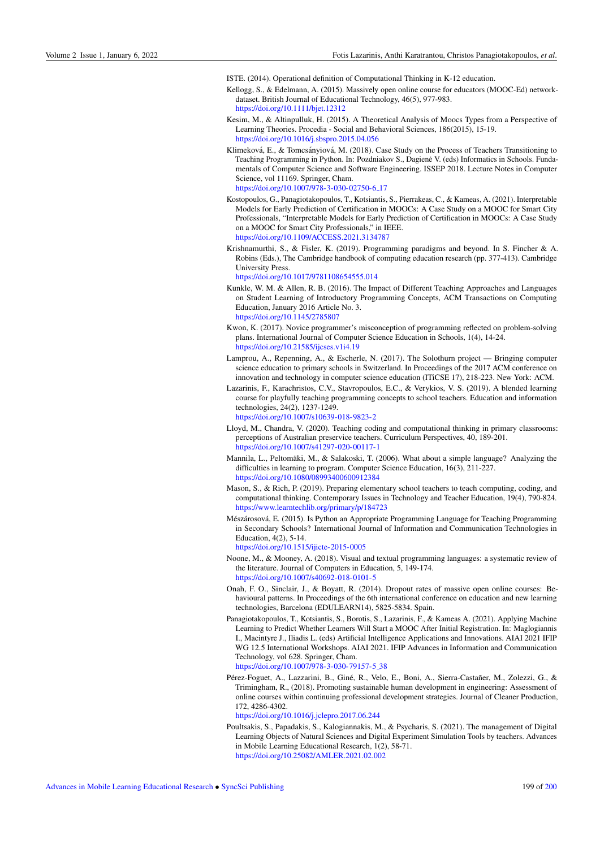ISTE. (2014). Operational definition of Computational Thinking in K-12 education.

- Kellogg, S., & Edelmann, A. (2015). Massively open online course for educators (MOOC-Ed) networkdataset. British Journal of Educational Technology, 46(5), 977-983. <https://doi.org/10.1111/bjet.12312>
- Kesim, M., & Altinpulluk, H. (2015). A Theoretical Analysis of Moocs Types from a Perspective of Learning Theories. Procedia - Social and Behavioral Sciences, 186(2015), 15-19. <https://doi.org/10.1016/j.sbspro.2015.04.056>
- Klimeková, E., & Tomcsányiová, M. (2018). Case Study on the Process of Teachers Transitioning to Teaching Programming in Python. In: Pozdniakov S., Dagiene V. (eds) Informatics in Schools. Fundamentals of Computer Science and Software Engineering. ISSEP 2018. Lecture Notes in Computer Science, vol 11169. Springer, Cham. [https://doi.org/10.1007/978-3-030-02750-6](https://doi.org/10.1007/978-3-030-02750-6_17)<sub>-</sub>17
- Kostopoulos, G., Panagiotakopoulos, T., Kotsiantis, S., Pierrakeas, C., & Kameas, A. (2021). Interpretable Models for Early Prediction of Certification in MOOCs: A Case Study on a MOOC for Smart City Professionals, "Interpretable Models for Early Prediction of Certification in MOOCs: A Case Study on a MOOC for Smart City Professionals," in IEEE. <https://doi.org/10.1109/ACCESS.2021.3134787>
- Krishnamurthi, S., & Fisler, K. (2019). Programming paradigms and beyond. In S. Fincher & A. Robins (Eds.), The Cambridge handbook of computing education research (pp. 377-413). Cambridge University Press.

<https://doi.org/10.1017/9781108654555.014>

- Kunkle, W. M. & Allen, R. B. (2016). The Impact of Different Teaching Approaches and Languages on Student Learning of Introductory Programming Concepts, ACM Transactions on Computing Education, January 2016 Article No. 3. <https://doi.org/10.1145/2785807>
- Kwon, K. (2017). Novice programmer's misconception of programming reflected on problem-solving plans. International Journal of Computer Science Education in Schools, 1(4), 14-24. <https://doi.org/10.21585/ijcses.v1i4.19>
- Lamprou, A., Repenning, A., & Escherle, N. (2017). The Solothurn project Bringing computer science education to primary schools in Switzerland. In Proceedings of the 2017 ACM conference on innovation and technology in computer science education (ITiCSE 17), 218-223. New York: ACM.
- Lazarinis, F., Karachristos, C.V., Stavropoulos, E.C., & Verykios, V. S. (2019). A blended learning course for playfully teaching programming concepts to school teachers. Education and information technologies, 24(2), 1237-1249. <https://doi.org/10.1007/s10639-018-9823-2>
- Lloyd, M., Chandra, V. (2020). Teaching coding and computational thinking in primary classrooms: perceptions of Australian preservice teachers. Curriculum Perspectives, 40, 189-201. <https://doi.org/10.1007/s41297-020-00117-1>
- Mannila, L., Peltomäki, M., & Salakoski, T. (2006). What about a simple language? Analyzing the difficulties in learning to program. Computer Science Education, 16(3), 211-227. <https://doi.org/10.1080/08993400600912384>
- Mason, S., & Rich, P. (2019). Preparing elementary school teachers to teach computing, coding, and computational thinking. Contemporary Issues in Technology and Teacher Education, 19(4), 790-824. <https://www.learntechlib.org/primary/p/184723>
- Mészárosová, E. (2015). Is Python an Appropriate Programming Language for Teaching Programming in Secondary Schools? International Journal of Information and Communication Technologies in Education, 4(2), 5-14.

[https://doi.org/10.1515/ijicte-2015-0005](https://doi.org/10.1515/ijicte-2015-0005 )

- Noone, M., & Mooney, A. (2018). Visual and textual programming languages: a systematic review of the literature. Journal of Computers in Education, 5, 149-174. <https://doi.org/10.1007/s40692-018-0101-5>
- Onah, F. O., Sinclair, J., & Boyatt, R. (2014). Dropout rates of massive open online courses: Behavioural patterns. In Proceedings of the 6th international conference on education and new learning technologies, Barcelona (EDULEARN14), 5825-5834. Spain.
- Panagiotakopoulos, T., Kotsiantis, S., Borotis, S., Lazarinis, F., & Kameas A. (2021). Applying Machine Learning to Predict Whether Learners Will Start a MOOC After Initial Registration. In: Maglogiannis I., Macintyre J., Iliadis L. (eds) Artificial Intelligence Applications and Innovations. AIAI 2021 IFIP WG 12.5 International Workshops. AIAI 2021. IFIP Advances in Information and Communication Technology, vol 628. Springer, Cham. [https://doi.org/10.1007/978-3-030-79157-5](https://doi.org/10.1007/978-3-030-79157-5_38) 38
- Pérez-Foguet, A., Lazzarini, B., Giné, R., Velo, E., Boni, A., Sierra-Castañer, M., Zolezzi, G., & Trimingham, R., (2018). Promoting sustainable human development in engineering: Assessment of online courses within continuing professional development strategies. Journal of Cleaner Production, 172, 4286-4302.

<https://doi.org/10.1016/j.jclepro.2017.06.244>

Poultsakis, S., Papadakis, S., Kalogiannakis, M., & Psycharis, S. (2021). The management of Digital Learning Objects of Natural Sciences and Digital Experiment Simulation Tools by teachers. Advances in Mobile Learning Educational Research, 1(2), 58-71. <https://doi.org/10.25082/AMLER.2021.02.002>